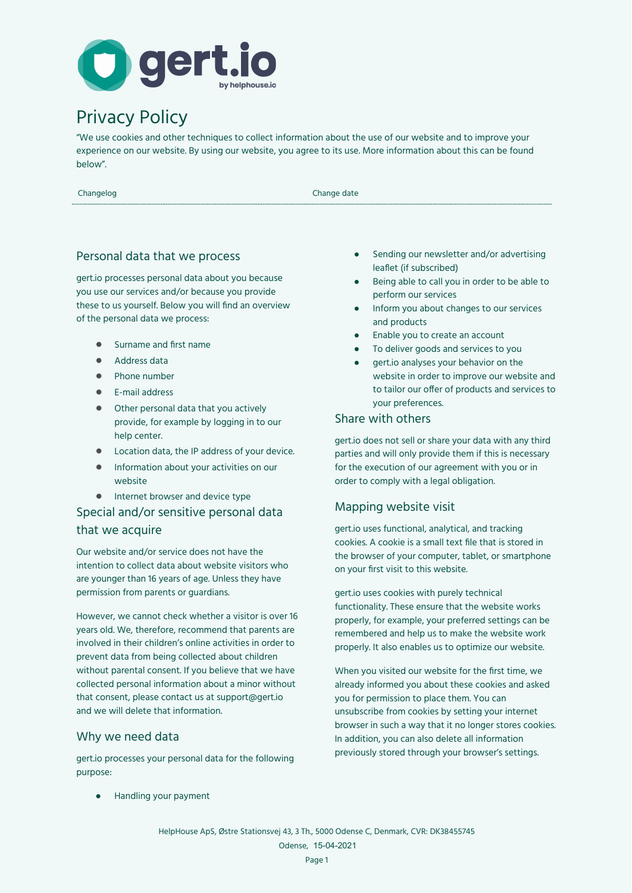

# Privacy Policy

"We use cookies and other techniques to collect information about the use of our website and to improve your experience on our website. By using our website, you agree to its use. More information about this can be found below".

Changelog Changelog Changelog Changelog Changelog Changelog Changelog Changelog Changelog Changelog Changelog Changelog Changelog Changelog Changelog Changelog Changelog Changelog Changelog Changelog Changelog Changelog Ch

# Personal data that we process

gert.io processes personal data about you because you use our services and/or because you provide these to us yourself. Below you will find an overview of the personal data we process:

- Surname and first name
- Address data
- Phone number
- E-mail address
- Other personal data that you actively provide, for example by logging in to our help center.
- Location data, the IP address of your device.
- Information about your activities on our website
- Internet browser and device type

# Special and/or sensitive personal data that we acquire

Our website and/or service does not have the intention to collect data about website visitors who are younger than 16 years of age. Unless they have permission from parents or guardians.

However, we cannot check whether a visitor is over 16 years old. We, therefore, recommend that parents are involved in their children's online activities in order to prevent data from being collected about children without parental consent. If you believe that we have collected personal information about a minor without that consent, please contact us at support@gert.io and we will delete that information.

#### Why we need data

gert.io processes your personal data for the following purpose:

● Handling your payment

- Sending our newsletter and/or advertising leaflet (if subscribed)
- Being able to call you in order to be able to perform our services
- Inform you about changes to our services and products
- Enable you to create an account
- To deliver goods and services to you
- gert.io analyses your behavior on the website in order to improve our website and to tailor our offer of products and services to your preferences.

#### Share with others

gert.io does not sell or share your data with any third parties and will only provide them if this is necessary for the execution of our agreement with you or in order to comply with a legal obligation.

# Mapping website visit

gert.io uses functional, analytical, and tracking cookies. A cookie is a small text file that is stored in the browser of your computer, tablet, or smartphone on your first visit to this website.

gert.io uses cookies with purely technical functionality. These ensure that the website works properly, for example, your preferred settings can be remembered and help us to make the website work properly. It also enables us to optimize our website.

When you visited our website for the first time, we already informed you about these cookies and asked you for permission to place them. You can unsubscribe from cookies by setting your internet browser in such a way that it no longer stores cookies. In addition, you can also delete all information previously stored through your browser's settings.